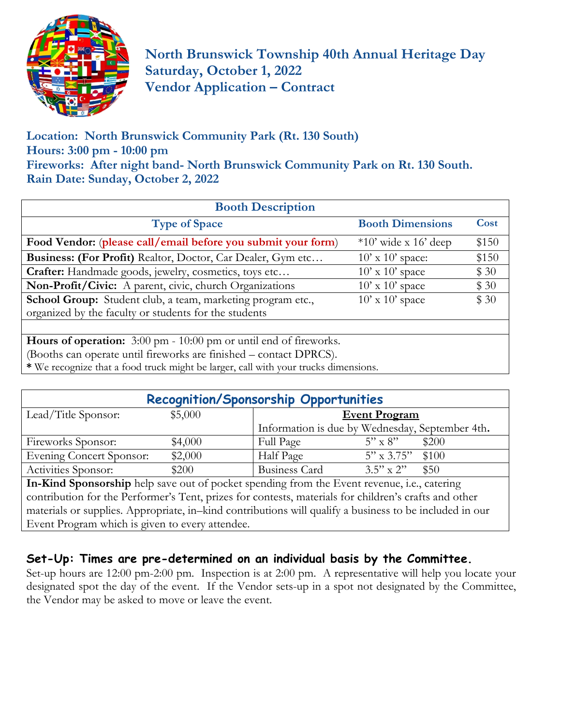

**North Brunswick Township 40th Annual Heritage Day Saturday, October 1, 2022 Vendor Application – Contract** 

**Location: North Brunswick Community Park (Rt. 130 South) Hours: 3:00 pm - 10:00 pm Fireworks: After night band- North Brunswick Community Park on Rt. 130 South. Rain Date: Sunday, October 2, 2022**

| <b>Booth Description</b>                                                 |                         |       |  |  |  |  |
|--------------------------------------------------------------------------|-------------------------|-------|--|--|--|--|
| <b>Type of Space</b>                                                     | <b>Booth Dimensions</b> | Cost  |  |  |  |  |
| Food Vendor: (please call/email before you submit your form)             | $*10'$ wide x 16' deep  | \$150 |  |  |  |  |
| Business: (For Profit) Realtor, Doctor, Car Dealer, Gym etc              | $10'$ x $10'$ space:    | \$150 |  |  |  |  |
| Crafter: Handmade goods, jewelry, cosmetics, toys etc                    | $10'$ x $10'$ space     | \$30  |  |  |  |  |
| Non-Profit/Civic: A parent, civic, church Organizations                  | $10'$ x $10'$ space     | \$30  |  |  |  |  |
| School Group: Student club, a team, marketing program etc.,              | $10'$ x $10'$ space     | \$30  |  |  |  |  |
| organized by the faculty or students for the students                    |                         |       |  |  |  |  |
|                                                                          |                         |       |  |  |  |  |
| <b>Hours of operation:</b> 3:00 pm - 10:00 pm or until end of fireworks. |                         |       |  |  |  |  |
| (Booths can operate until fireworks are finished – contact DPRCS).       |                         |       |  |  |  |  |

**\*** We recognize that a food truck might be larger, call with your trucks dimensions.

| <b>Recognition/Sponsorship Opportunities</b> |                                 |                                                 |                     |       |  |  |
|----------------------------------------------|---------------------------------|-------------------------------------------------|---------------------|-------|--|--|
| Lead/Title Sponsor:                          | \$5,000<br><b>Event Program</b> |                                                 |                     |       |  |  |
|                                              |                                 | Information is due by Wednesday, September 4th. |                     |       |  |  |
| Fireworks Sponsor:                           | \$4,000                         | <b>Full Page</b>                                | $5" \times 8"$      | \$200 |  |  |
| Evening Concert Sponsor:                     | \$2,000                         | Half Page                                       | $5'' \times 3.75''$ | \$100 |  |  |
| Activities Sponsor:                          | \$200                           | <b>Business Card</b>                            | $3.5$ " x 2"        | \$50  |  |  |

**In-Kind Sponsorship** help save out of pocket spending from the Event revenue, i.e., catering contribution for the Performer's Tent, prizes for contests, materials for children's crafts and other materials or supplies. Appropriate, in–kind contributions will qualify a business to be included in our Event Program which is given to every attendee.

# **Set-Up: Times are pre-determined on an individual basis by the Committee.**

Set-up hours are 12:00 pm-2:00 pm. Inspection is at 2:00 pm. A representative will help you locate your designated spot the day of the event. If the Vendor sets-up in a spot not designated by the Committee, the Vendor may be asked to move or leave the event.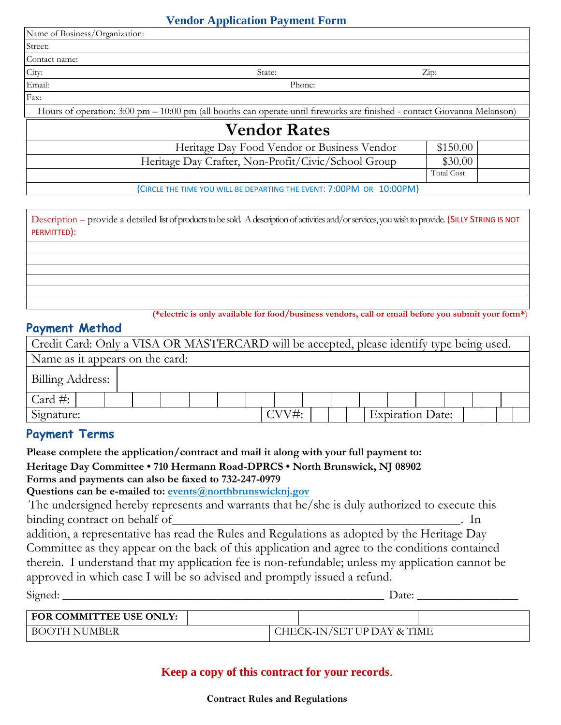#### **Vendor Application Payment Form**

| Name of Business/Organization: |                                                                                                                                            |                       |  |
|--------------------------------|--------------------------------------------------------------------------------------------------------------------------------------------|-----------------------|--|
| Street:                        |                                                                                                                                            |                       |  |
| Contact name:                  |                                                                                                                                            |                       |  |
| City:                          | State:                                                                                                                                     | $\operatorname{Zip:}$ |  |
| Email:                         | Phone:                                                                                                                                     |                       |  |
| Fax:                           |                                                                                                                                            |                       |  |
|                                | Hours of operation: $3.00 \text{ pm} - 10.00 \text{ pm}$ (all booths can operate until fireworks are finished - contact Giovanna Melanson) |                       |  |
|                                | <b>Vendor Rates</b>                                                                                                                        |                       |  |
|                                | Heritage Day Food Vendor or Business Vendor                                                                                                | \$150.00              |  |
|                                | Heritage Day Crafter, Non-Profit/Civic/School Group                                                                                        | \$30.00               |  |
|                                |                                                                                                                                            | <b>Total Cost</b>     |  |
|                                | {CIRCLE THE TIME YOU WILL BE DEPARTING THE EVENT: 7:00PM OR 10:00PM}                                                                       |                       |  |
|                                |                                                                                                                                            |                       |  |

Description – provide a detailed list of products to be sold. A description of activities and/or services, you wish to provide. (SILLY STRING IS NOT PERMITTED):

**(\*electric is only available for food/business vendors, call or email before you submit your form\***)

#### **Payment Method**

| Credit Card: Only a VISA OR MASTERCARD will be accepted, please identify type being used. |  |  |  |      |  |  |                         |  |  |
|-------------------------------------------------------------------------------------------|--|--|--|------|--|--|-------------------------|--|--|
| Name as it appears on the card:                                                           |  |  |  |      |  |  |                         |  |  |
| Billing Address:                                                                          |  |  |  |      |  |  |                         |  |  |
| Card $\#$ :                                                                               |  |  |  |      |  |  |                         |  |  |
| Signature:                                                                                |  |  |  | CVV# |  |  | <b>Expiration Date:</b> |  |  |

## **Payment Terms**

**Please complete the application/contract and mail it along with your full payment to: Heritage Day Committee • 710 Hermann Road-DPRCS • North Brunswick, NJ 08902 Forms and payments can also be faxed to 732-247-0979**

**Questions can be e-mailed to: events@northbrunswicknj.gov**

The undersigned hereby represents and warrants that he/she is duly authorized to execute this binding contract on behalf of\_\_\_\_\_\_\_\_\_\_\_\_\_\_\_\_\_\_\_\_\_\_\_\_\_\_\_\_\_\_\_\_\_\_\_\_\_\_\_\_\_\_\_\_\_. In

addition, a representative has read the Rules and Regulations as adopted by the Heritage Day Committee as they appear on the back of this application and agree to the conditions contained therein. I understand that my application fee is non-refundable; unless my application cannot be approved in which case I will be so advised and promptly issued a refund. Signed: \_\_\_\_\_\_\_\_\_\_\_\_\_\_\_\_\_\_\_\_\_\_\_\_\_\_\_\_\_\_\_\_\_\_\_\_\_\_\_\_\_\_\_\_\_\_\_\_\_\_\_\_\_\_ Date: \_\_\_\_\_\_\_\_\_\_\_\_\_\_\_\_\_

| <b>FOR COMMITTEE USE ONLY:</b> |  |                            |  |
|--------------------------------|--|----------------------------|--|
| <b>BOOTH NUMBER</b>            |  | CHECK-IN/SET UP DAY & TIME |  |

## **Keep a copy of this contract for your records**.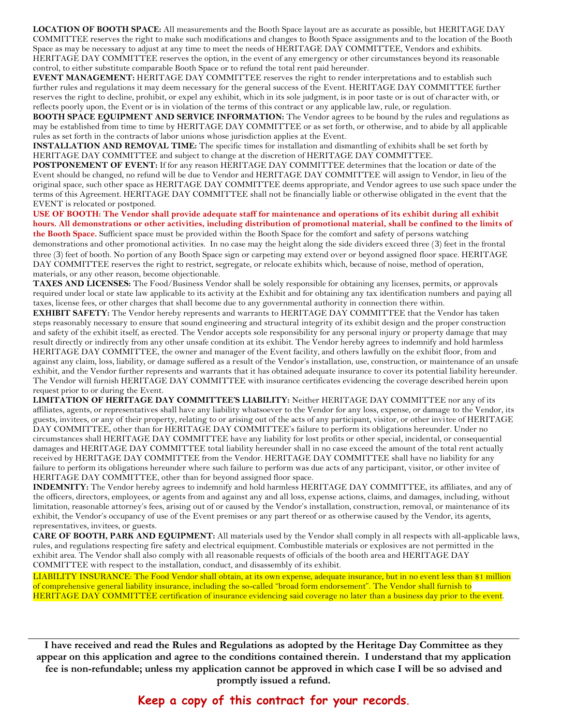**LOCATION OF BOOTH SPACE:** All measurements and the Booth Space layout are as accurate as possible, but HERITAGE DAY COMMITTEE reserves the right to make such modifications and changes to Booth Space assignments and to the location of the Booth Space as may be necessary to adjust at any time to meet the needs of HERITAGE DAY COMMITTEE, Vendors and exhibits. HERITAGE DAY COMMITTEE reserves the option, in the event of any emergency or other circumstances beyond its reasonable control, to either substitute comparable Booth Space or to refund the total rent paid hereunder.

**EVENT MANAGEMENT:** HERITAGE DAY COMMITTEE reserves the right to render interpretations and to establish such further rules and regulations it may deem necessary for the general success of the Event. HERITAGE DAY COMMITTEE further reserves the right to decline, prohibit, or expel any exhibit, which in its sole judgment, is in poor taste or is out of character with, or reflects poorly upon, the Event or is in violation of the terms of this contract or any applicable law, rule, or regulation.

**BOOTH SPACE EQUIPMENT AND SERVICE INFORMATION:** The Vendor agrees to be bound by the rules and regulations as may be established from time to time by HERITAGE DAY COMMITTEE or as set forth, or otherwise, and to abide by all applicable rules as set forth in the contracts of labor unions whose jurisdiction applies at the Event.

**INSTALLATION AND REMOVAL TIME:** The specific times for installation and dismantling of exhibits shall be set forth by HERITAGE DAY COMMITTEE and subject to change at the discretion of HERITAGE DAY COMMITTEE.

**POSTPONEMENT OF EVENT:** If for any reason HERITAGE DAY COMMITTEE determines that the location or date of the Event should be changed, no refund will be due to Vendor and HERITAGE DAY COMMITTEE will assign to Vendor, in lieu of the original space, such other space as HERITAGE DAY COMMITTEE deems appropriate, and Vendor agrees to use such space under the terms of this Agreement. HERITAGE DAY COMMITTEE shall not be financially liable or otherwise obligated in the event that the EVENT is relocated or postponed.

**USE OF BOOTH: The Vendor shall provide adequate staff for maintenance and operations of its exhibit during all exhibit hours. All demonstrations or other activities, including distribution of promotional material, shall be confined to the limits of the Booth Space.** Sufficient space must be provided within the Booth Space for the comfort and safety of persons watching

demonstrations and other promotional activities. In no case may the height along the side dividers exceed three (3) feet in the frontal three (3) feet of booth. No portion of any Booth Space sign or carpeting may extend over or beyond assigned floor space. HERITAGE DAY COMMITTEE reserves the right to restrict, segregate, or relocate exhibits which, because of noise, method of operation, materials, or any other reason, become objectionable.

**TAXES AND LICENSES:** The Food/Business Vendor shall be solely responsible for obtaining any licenses, permits, or approvals required under local or state law applicable to its activity at the Exhibit and for obtaining any tax identification numbers and paying all taxes, license fees, or other charges that shall become due to any governmental authority in connection there within.

**EXHIBIT SAFETY:** The Vendor hereby represents and warrants to HERITAGE DAY COMMITTEE that the Vendor has taken steps reasonably necessary to ensure that sound engineering and structural integrity of its exhibit design and the proper construction and safety of the exhibit itself, as erected. The Vendor accepts sole responsibility for any personal injury or property damage that may result directly or indirectly from any other unsafe condition at its exhibit. The Vendor hereby agrees to indemnify and hold harmless HERITAGE DAY COMMITTEE, the owner and manager of the Event facility, and others lawfully on the exhibit floor, from and against any claim, loss, liability, or damage suffered as a result of the Vendor's installation, use, construction, or maintenance of an unsafe exhibit, and the Vendor further represents and warrants that it has obtained adequate insurance to cover its potential liability hereunder. The Vendor will furnish HERITAGE DAY COMMITTEE with insurance certificates evidencing the coverage described herein upon request prior to or during the Event.

**LIMITATION OF HERITAGE DAY COMMITTEE'S LIABILITY:** Neither HERITAGE DAY COMMITTEE nor any of its affiliates, agents, or representatives shall have any liability whatsoever to the Vendor for any loss, expense, or damage to the Vendor, its guests, invitees, or any of their property, relating to or arising out of the acts of any participant, visitor, or other invitee of HERITAGE DAY COMMITTEE, other than for HERITAGE DAY COMMITTEE's failure to perform its obligations hereunder. Under no circumstances shall HERITAGE DAY COMMITTEE have any liability for lost profits or other special, incidental, or consequential damages and HERITAGE DAY COMMITTEE total liability hereunder shall in no case exceed the amount of the total rent actually received by HERITAGE DAY COMMITTEE from the Vendor. HERITAGE DAY COMMITTEE shall have no liability for any failure to perform its obligations hereunder where such failure to perform was due acts of any participant, visitor, or other invitee of HERITAGE DAY COMMITTEE, other than for beyond assigned floor space.

**INDEMNITY:** The Vendor hereby agrees to indemnify and hold harmless HERITAGE DAY COMMITTEE, its affiliates, and any of the officers, directors, employees, or agents from and against any and all loss, expense actions, claims, and damages, including, without limitation, reasonable attorney's fees, arising out of or caused by the Vendor's installation, construction, removal, or maintenance of its exhibit, the Vendor's occupancy of use of the Event premises or any part thereof or as otherwise caused by the Vendor, its agents, representatives, invitees, or guests.

**CARE OF BOOTH, PARK AND EQUIPMENT:** All materials used by the Vendor shall comply in all respects with all-applicable laws, rules, and regulations respecting fire safety and electrical equipment. Combustible materials or explosives are not permitted in the exhibit area. The Vendor shall also comply with all reasonable requests of officials of the booth area and HERITAGE DAY COMMITTEE with respect to the installation, conduct, and disassembly of its exhibit.

LIABILITY INSURANCE: The Food Vendor shall obtain, at its own expense, adequate insurance, but in no event less than \$1 million of comprehensive general liability insurance, including the so-called "broad form endorsement". The Vendor shall furnish to HERITAGE DAY COMMITTEE certification of insurance evidencing said coverage no later than a business day prior to the event.

**I have received and read the Rules and Regulations as adopted by the Heritage Day Committee as they appear on this application and agree to the conditions contained therein. I understand that my application fee is non-refundable; unless my application cannot be approved in which case I will be so advised and promptly issued a refund.**

## **Keep a copy of this contract for your records**.